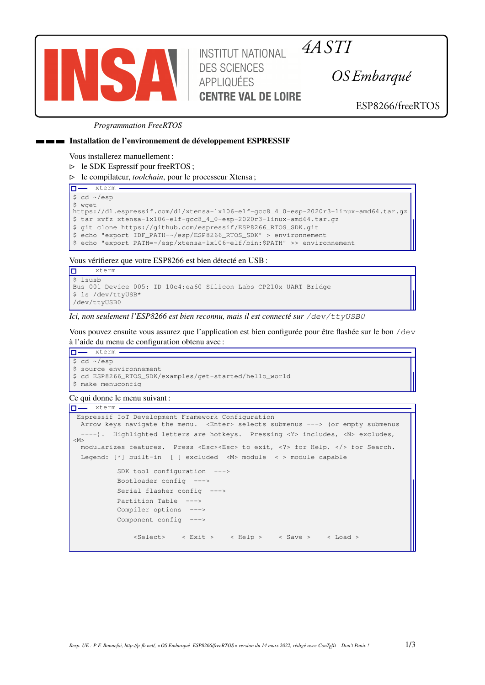

*4A STITUT NATIONAL 4A STI* **DES SCIENCES** APPLIQUÉES **CENTRE VAL DE LOIRE** 

*OS Embarqué*

ESP8266/freeRTOS

### *Programmation FreeRTOS*

### **Installation de l'environnement de développement ESPRESSIF**

Vous installerez manuellement :

⊳ le SDK Espressif pour freeRTOS ;

⊳ le compilateur, *toolchain*, pour le processeur Xtensa ;

## **D**-xterm \$ cd ~/esp

```
$ wget
https://dl.espressif.com/dl/xtensa-lx106-elf-gcc8_4_0-esp-2020r3-linux-amd64.tar.gz
$ tar xvfz xtensa-lx106-elf-gcc8_4_0-esp-2020r3-linux-amd64.tar.gz
$ git clone https://github.com/espressif/ESP8266_RTOS_SDK.git
$ echo "export IDF_PATH=~/esp/ESP8266_RTOS_SDK" > environnement
```
\$ echo "export PATH=~/esp/xtensa-lx106-elf/bin:\$PATH" >> environnement

Vous vérifierez que votre ESP8266 est bien détecté en USB :

```
\overline{\Box} xterm -
 $ lsusb
Bus 001 Device 005: ID 10c4:ea60 Silicon Labs CP210x UART Bridge
$ ls /dev/ttyUSB*
/dev/ttyUSB0
```
*Ici, non seulement l'ESP8266 est bien reconnu, mais il est connecté sur /dev/ttyUSB0*

Vous pouvez ensuite vous assurez que l'application est bien configurée pour être flashée sur le bon /dev à l'aide du menu de configuration obtenu avec :

```
D-xterm
$ cd ~/esp
$ source environnement
$ cd ESP8266_RTOS_SDK/examples/get-started/hello_world
$ make menuconfig
```
# Ce qui donne le menu suivant :

```
\boxed{\Box - \quad \text{xterm} \cdot \quad}Espressif IoT Development Framework Configuration
  Arrow keys navigate the menu. <Enter> selects submenus ---> (or empty submenus
    ---). Highlighted letters are hotkeys. Pressing <Y> includes, <N> excludes,
|M>modularizes features. Press <Esc><Esc> to exit, <?> for Help, </> for Search.
  Legend: [*] built-in [ ] excluded <M> module < > module capable
           SDK tool configuration --->
           Bootloader config --->
           Serial flasher config --->
           Partition Table --->
           Compiler options --->
           Component config --->
                <Select> < Exit > < Help > < Save > < Load >
```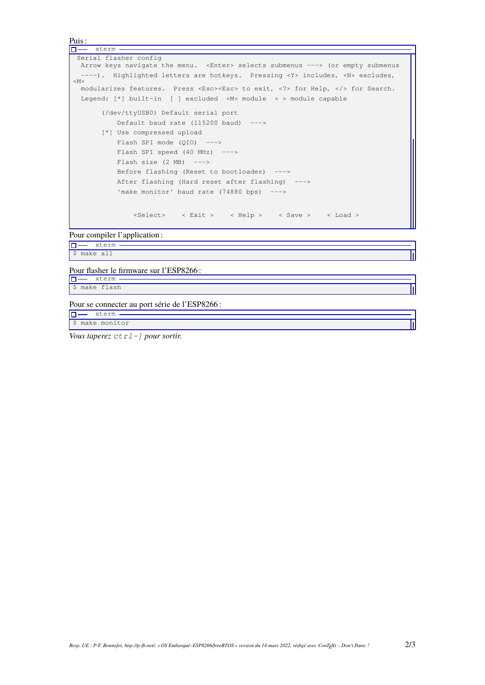```
Puis :
\boxed{\Box - \quad \text{xterm} - \quad}Serial flasher config
  Arrow keys navigate the menu. <Enter> selects submenus ---> (or empty submenus
  ----). Highlighted letters are hotkeys. Pressing <Y> includes, <N> excludes,
|M>modularizes features. Press <Esc><Esc> to exit, <?> for Help, </> for Search.
  Legend: [*] built-in [ ] excluded <M> module < > module capable
        (/dev/ttyUSB0) Default serial port
           Default baud rate (115200 baud) --->[*] Use compressed upload
           Flash SPI mode (QIO) --->
           Flash SPI speed (40 MHz) --->
           Flash size (2 \text{ MB}) --->
           Before flashing (Reset to bootloader) --->
           After flashing (Hard reset after flashing) --->
           'make monitor' baud rate (74880 bps) --->
               <Select> < Exit > < Help > < Save > < Load >
```
Pour compiler l'application :

**D**-xterm \$ make all

Pour flasher le firmware sur l'ESP8266 :

**O**-xterm. \$ make flash

Pour se connecter au port série de l'ESP8266 :

 $\boxed{\Box - \quad \text{xterm} - \quad}$ \$ make monitor

*Vous taperez ctrl-] pour sortir.*